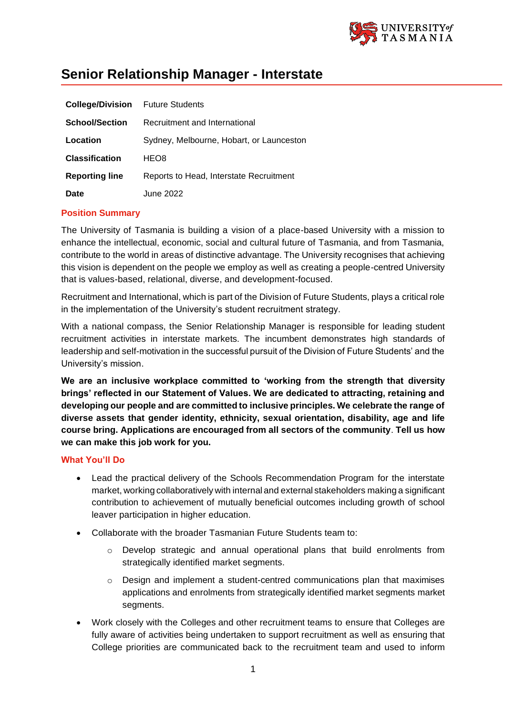

# **Senior Relationship Manager - Interstate**

| <b>College/Division</b> | <b>Future Students</b>                   |
|-------------------------|------------------------------------------|
| <b>School/Section</b>   | Recruitment and International            |
| Location                | Sydney, Melbourne, Hobart, or Launceston |
| <b>Classification</b>   | HEO8                                     |
| <b>Reporting line</b>   | Reports to Head, Interstate Recruitment  |
| Date                    | June 2022                                |

## **Position Summary**

The University of Tasmania is building a vision of a place-based University with a mission to enhance the intellectual, economic, social and cultural future of Tasmania, and from Tasmania, contribute to the world in areas of distinctive advantage. The University recognises that achieving this vision is dependent on the people we employ as well as creating a people-centred University that is values-based, relational, diverse, and development-focused.

Recruitment and International, which is part of the Division of Future Students, plays a critical role in the implementation of the University's student recruitment strategy.

With a national compass, the Senior Relationship Manager is responsible for leading student recruitment activities in interstate markets. The incumbent demonstrates high standards of leadership and self-motivation in the successful pursuit of the Division of Future Students' and the University's mission.

**We are an inclusive workplace committed to 'working from the strength that diversity brings' reflected in our Statement of Values. We are dedicated to attracting, retaining and developing our people and are committed to inclusive principles. We celebrate the range of diverse assets that gender identity, ethnicity, sexual orientation, disability, age and life course bring. Applications are encouraged from all sectors of the community**. **Tell us how we can make this job work for you.**

## **What You'll Do**

- Lead the practical delivery of the Schools Recommendation Program for the interstate market, working collaboratively with internal and external stakeholders making a significant contribution to achievement of mutually beneficial outcomes including growth of school leaver participation in higher education.
- Collaborate with the broader Tasmanian Future Students team to:
	- Develop strategic and annual operational plans that build enrolments from strategically identified market segments.
	- o Design and implement a student-centred communications plan that maximises applications and enrolments from strategically identified market segments market segments.
- Work closely with the Colleges and other recruitment teams to ensure that Colleges are fully aware of activities being undertaken to support recruitment as well as ensuring that College priorities are communicated back to the recruitment team and used to inform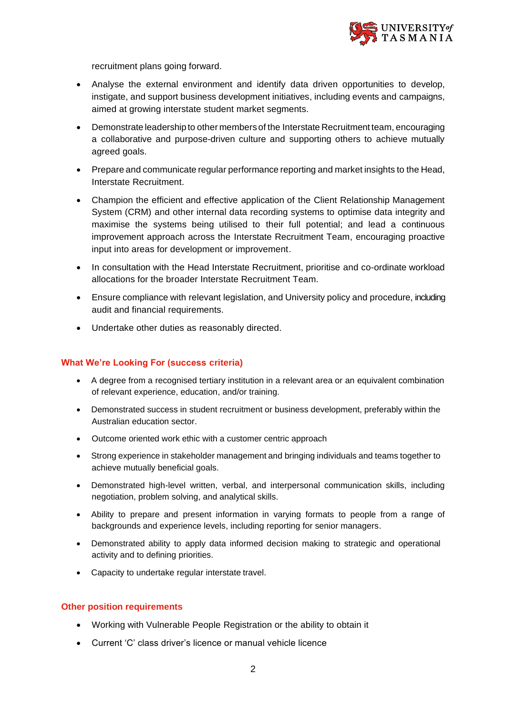

recruitment plans going forward.

- Analyse the external environment and identify data driven opportunities to develop, instigate, and support business development initiatives, including events and campaigns, aimed at growing interstate student market segments.
- Demonstrate leadership to other members of the Interstate Recruitment team, encouraging a collaborative and purpose-driven culture and supporting others to achieve mutually agreed goals.
- Prepare and communicate regular performance reporting and market insights to the Head, Interstate Recruitment.
- Champion the efficient and effective application of the Client Relationship Management System (CRM) and other internal data recording systems to optimise data integrity and maximise the systems being utilised to their full potential; and lead a continuous improvement approach across the Interstate Recruitment Team, encouraging proactive input into areas for development or improvement.
- In consultation with the Head Interstate Recruitment, prioritise and co-ordinate workload allocations for the broader Interstate Recruitment Team.
- Ensure compliance with relevant legislation, and University policy and procedure, including audit and financial requirements.
- Undertake other duties as reasonably directed.

### **What We're Looking For (success criteria)**

- A degree from a recognised tertiary institution in a relevant area or an equivalent combination of relevant experience, education, and/or training.
- Demonstrated success in student recruitment or business development, preferably within the Australian education sector.
- Outcome oriented work ethic with a customer centric approach
- Strong experience in stakeholder management and bringing individuals and teams together to achieve mutually beneficial goals.
- Demonstrated high-level written, verbal, and interpersonal communication skills, including negotiation, problem solving, and analytical skills.
- Ability to prepare and present information in varying formats to people from a range of backgrounds and experience levels, including reporting for senior managers.
- Demonstrated ability to apply data informed decision making to strategic and operational activity and to defining priorities.
- Capacity to undertake regular interstate travel.

#### **Other position requirements**

- Working with Vulnerable People Registration or the ability to obtain it
- Current 'C' class driver's licence or manual vehicle licence